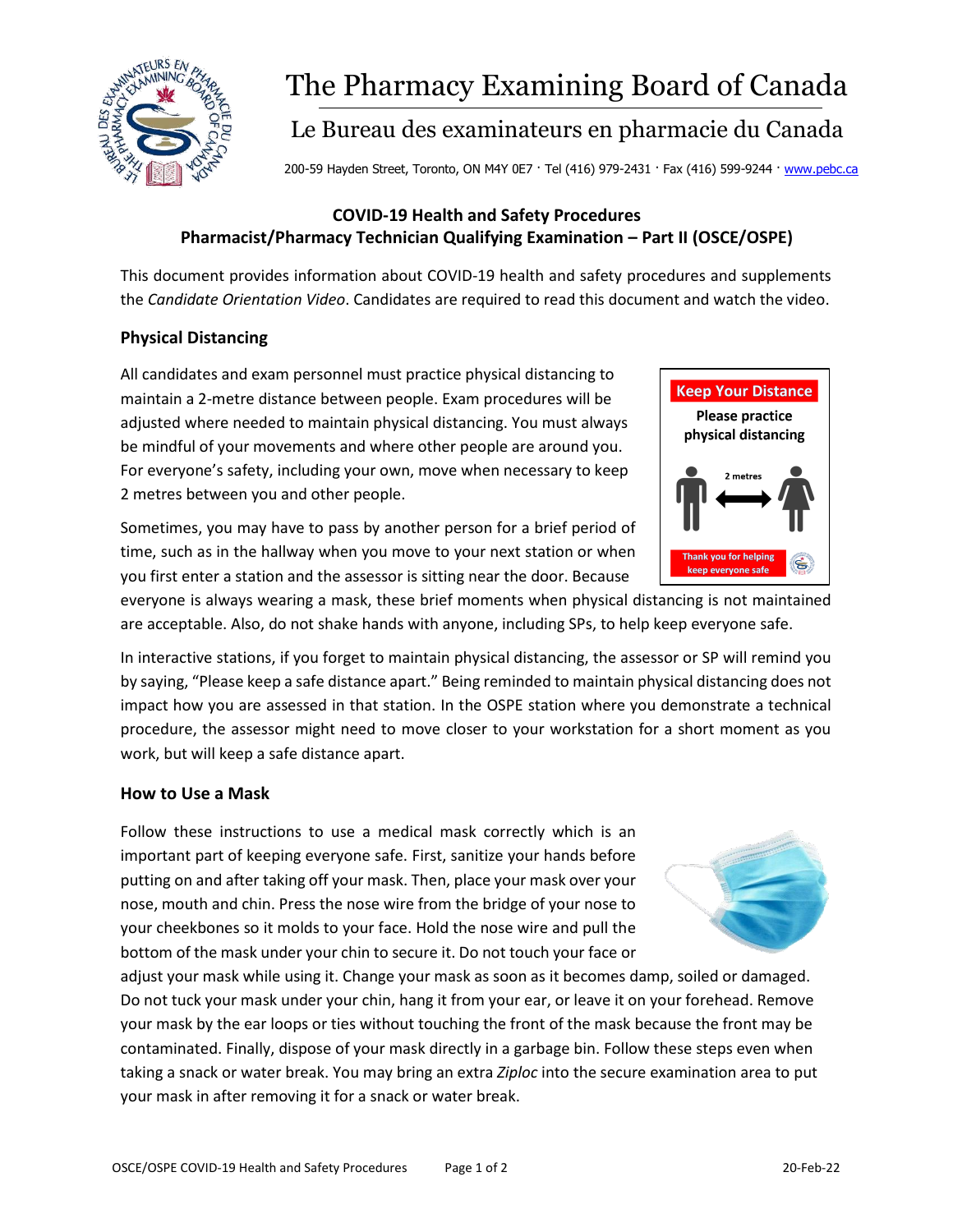

# The Pharmacy Examining Board of Canada

# Le Bureau des examinateurs en pharmacie du Canada

200-59 Hayden Street, Toronto, ON M4Y 0E7 · Tel (416) 979-2431 · Fax (416) 599-9244 · [www.pebc.ca](http://www.pebc.ca/)

## **COVID-19 Health and Safety Procedures Pharmacist/Pharmacy Technician Qualifying Examination – Part II (OSCE/OSPE)**

This document provides information about COVID-19 health and safety procedures and supplements the *Candidate Orientation Video*. Candidates are required to read this document and watch the video.

### **Physical Distancing**

All candidates and exam personnel must practice physical distancing to maintain a 2-metre distance between people. Exam procedures will be adjusted where needed to maintain physical distancing. You must always be mindful of your movements and where other people are around you. For everyone's safety, including your own, move when necessary to keep 2 metres between you and other people.



everyone is always wearing a mask, these brief moments when physical distancing is not maintained are acceptable. Also, do not shake hands with anyone, including SPs, to help keep everyone safe.

In interactive stations, if you forget to maintain physical distancing, the assessor or SP will remind you by saying, "Please keep a safe distance apart." Being reminded to maintain physical distancing does not impact how you are assessed in that station. In the OSPE station where you demonstrate a technical procedure, the assessor might need to move closer to your workstation for a short moment as you work, but will keep a safe distance apart.

#### **How to Use a Mask**

Follow these instructions to use a medical mask correctly which is an important part of keeping everyone safe. First, sanitize your hands before putting on and after taking off your mask. Then, place your mask over your nose, mouth and chin. Press the nose wire from the bridge of your nose to your cheekbones so it molds to your face. Hold the nose wire and pull the bottom of the mask under your chin to secure it. Do not touch your face or

adjust your mask while using it. Change your mask as soon as it becomes damp, soiled or damaged. Do not tuck your mask under your chin, hang it from your ear, or leave it on your forehead. Remove your mask by the ear loops or ties without touching the front of the mask because the front may be contaminated. Finally, dispose of your mask directly in a garbage bin. Follow these steps even when taking a snack or water break. You may bring an extra *Ziploc* into the secure examination area to put your mask in after removing it for a snack or water break.